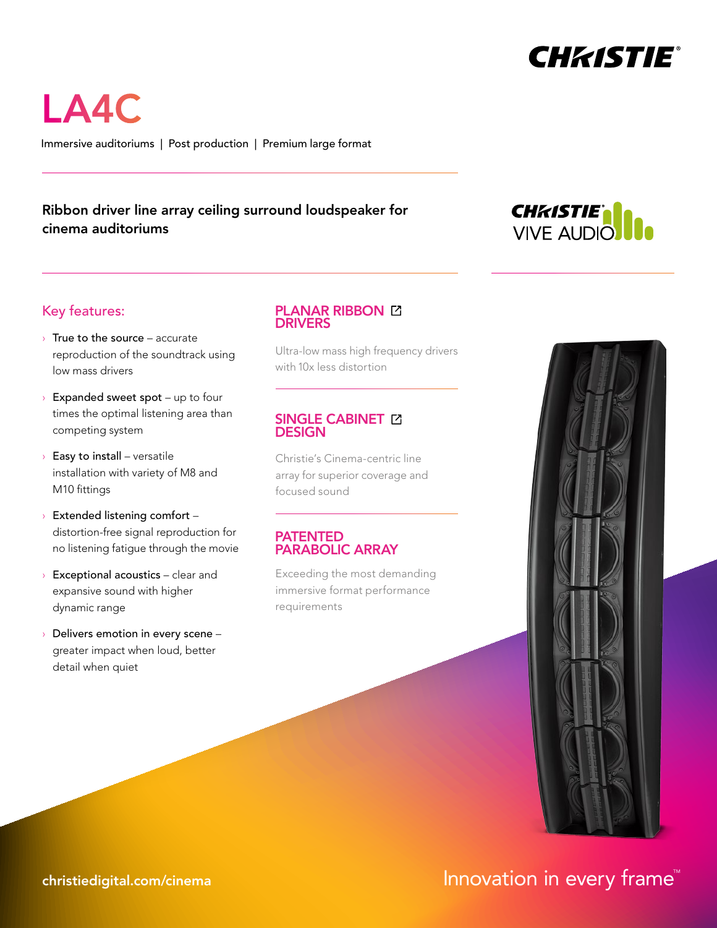

LA4C

Immersive auditoriums | Post production | Premium large format

# Ribbon driver line array ceiling surround loudspeaker for cinema auditoriums



# Key features:

- $\rightarrow$  True to the source accurate reproduction of the soundtrack using low mass drivers
- $\rightarrow$  Expanded sweet spot up to four times the optimal listening area than competing system
- $\rightarrow$  Easy to install versatile installation with variety of M8 and M10 fittings
- › Extended listening comfort distortion-free signal reproduction for no listening fatigue through the movie
- $\rightarrow$  Exceptional acoustics clear and expansive sound with higher dynamic range
- Delivers emotion in every scene greater impact when loud, better detail when quiet

#### **PLANAR RIBBON [2] DRIVERS**

[Ultra-low mass high frequency drivers](https://www.christiedigital.com/help-center/whitepapers/advantages-of-christie-planar-ribbon-technologies/?utm_source=datasheet&utm_medium=pdf&utm_campaign=ci-collateral&utm_content=LA4C) with 10x less distortion

### SINGLE CABINET **EX DESIGN**

Christie's Cinema-centric line [array for superior coverage and](https://www.christiedigital.com/help-center/whitepapers/next-level-audio-performance/?utm_source=datasheet&utm_medium=pdf&utm_campaign=ci-collateral&utm_content=LA4C)  focused sound

#### PATENTED PARABOLIC ARRAY

Exceeding the most demanding immersive format performance requirements



# ${\sf christiedigital.com/cinema} \hspace{20pt} {\sf Innovation} \hspace{20pt} {\sf in every frame}^{\sf M}$  ${\sf christiedigital.com/cinema} \hspace{20pt} {\sf Innovation} \hspace{20pt} {\sf in every frame}^{\sf M}$  ${\sf christiedigital.com/cinema} \hspace{20pt} {\sf Innovation} \hspace{20pt} {\sf in every frame}^{\sf M}$